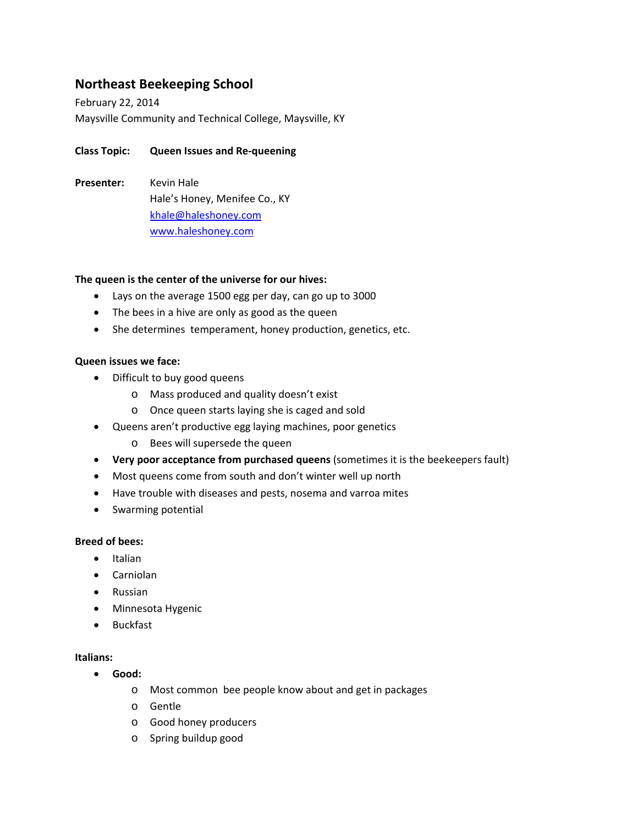# **Northeast Beekeeping School**

February 22, 2014 Maysville Community and Technical College, Maysville, KY

## **Class Topic: Queen Issues and Re‐queening**

Presenter: Kevin Hale Hale's Honey, Menifee Co., KY khale@haleshoney.com www.haleshoney.com

#### **The queen is the center of the universe for our hives:**

- Lays on the average 1500 egg per day, can go up to 3000
- The bees in a hive are only as good as the queen
- She determines temperament, honey production, genetics, etc.

#### **Queen issues we face:**

- Difficult to buy good queens
	- o Mass produced and quality doesn't exist
	- o Once queen starts laying she is caged and sold
- Queens aren't productive egg laying machines, poor genetics
	- o Bees will supersede the queen
- **Very poor acceptance from purchased queens** (sometimes it is the beekeepers fault)
- Most queens come from south and don't winter well up north
- Have trouble with diseases and pests, nosema and varroa mites
- Swarming potential

#### **Breed of bees:**

- **•** Italian
- Carniolan
- Russian
- Minnesota Hygenic
- Buckfast

#### **Italians:**

- **Good:**
	- o Most common bee people know about and get in packages
	- o Gentle
	- o Good honey producers
	- o Spring buildup good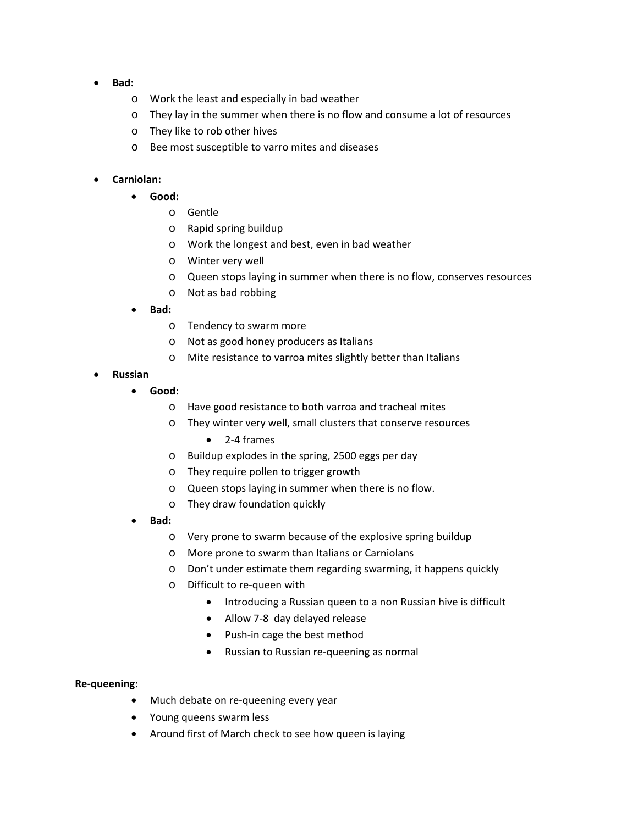- **Bad:**
	- o Work the least and especially in bad weather
	- o They lay in the summer when there is no flow and consume a lot of resources
	- o They like to rob other hives
	- o Bee most susceptible to varro mites and diseases

### **Carniolan:**

- **Good:**
	- o Gentle
	- o Rapid spring buildup
	- o Work the longest and best, even in bad weather
	- o Winter very well
	- o Queen stops laying in summer when there is no flow, conserves resources
	- o Not as bad robbing
- **Bad:**
	- o Tendency to swarm more
	- o Not as good honey producers as Italians
	- o Mite resistance to varroa mites slightly better than Italians
- **Russian**
	- **Good:**
		- o Have good resistance to both varroa and tracheal mites
		- o They winter very well, small clusters that conserve resources
			- 2‐4 frames
		- o Buildup explodes in the spring, 2500 eggs per day
		- o They require pollen to trigger growth
		- o Queen stops laying in summer when there is no flow.
		- o They draw foundation quickly
	- **Bad:**
		- o Very prone to swarm because of the explosive spring buildup
		- o More prone to swarm than Italians or Carniolans
		- o Don't under estimate them regarding swarming, it happens quickly
		- o Difficult to re‐queen with
			- Introducing a Russian queen to a non Russian hive is difficult
			- Allow 7-8 day delayed release
			- Push-in cage the best method
			- Russian to Russian re-queening as normal

#### **Re‐queening:**

- Much debate on re-queening every year
- Young queens swarm less
- Around first of March check to see how queen is laying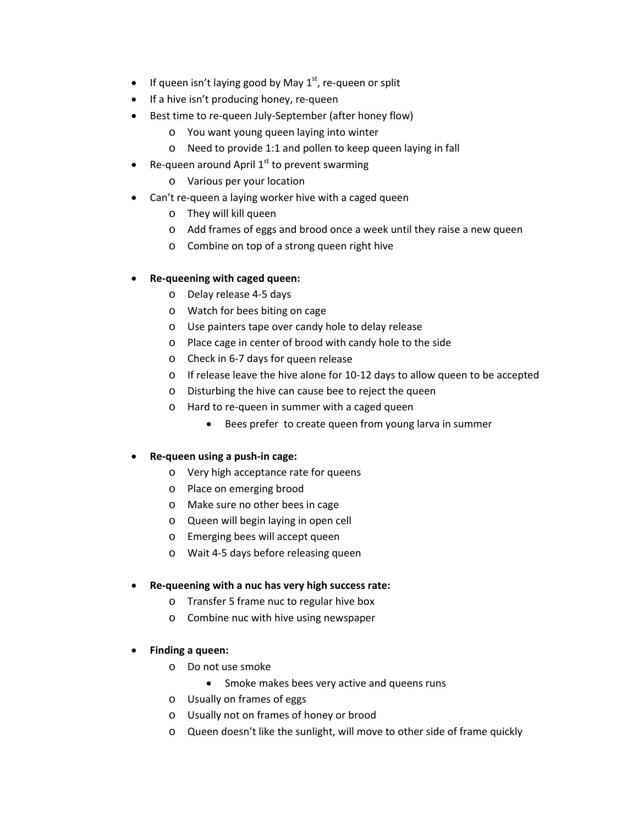- If queen isn't laying good by May  $1<sup>st</sup>$ , re-queen or split
- If a hive isn't producing honey, re-queen
- Best time to re-queen July-September (after honey flow)
	- o You want young queen laying into winter
	- o Need to provide 1:1 and pollen to keep queen laying in fall
- Re-queen around April  $1<sup>st</sup>$  to prevent swarming
	- o Various per your location
- Can't re‐queen a laying worker hive with a caged queen
	- o They will kill queen
	- o Add frames of eggs and brood once a week until they raise a new queen
	- o Combine on top of a strong queen right hive

## **Re‐queening with caged queen:**

- o Delay release 4‐5 days
- o Watch for bees biting on cage
- o Use painters tape over candy hole to delay release
- o Place cage in center of brood with candy hole to the side
- o Check in 6‐7 days for queen release
- o If release leave the hive alone for 10‐12 days to allow queen to be accepted
- o Disturbing the hive can cause bee to reject the queen
- o Hard to re‐queen in summer with a caged queen
	- Bees prefer to create queen from young larva in summer
- **Re‐queen using a push‐in cage:**
	- o Very high acceptance rate for queens
	- o Place on emerging brood
	- o Make sure no other bees in cage
	- o Queen will begin laying in open cell
	- o Emerging bees will accept queen
	- o Wait 4‐5 days before releasing queen

## **Re‐queening with a nuc has very high success rate:**

- o Transfer 5 frame nuc to regular hive box
- o Combine nuc with hive using newspaper

## **Finding a queen:**

- o Do not use smoke
	- Smoke makes bees very active and queens runs
- o Usually on frames of eggs
- o Usually not on frames of honey or brood
- o Queen doesn't like the sunlight, will move to other side of frame quickly